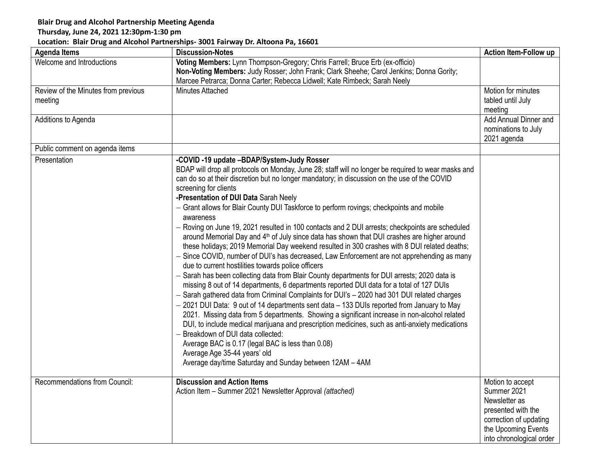## **Blair Drug and Alcohol Partnership Meeting Agenda**

## **Thursday, June 24, 2021 12:30pm-1:30 pm**

## **Location: Blair Drug and Alcohol Partnerships- 3001 Fairway Dr. Altoona Pa, 16601**

| <b>Agenda Items</b>                 | <b>Discussion-Notes</b>                                                                                 | Action Item-Follow up    |
|-------------------------------------|---------------------------------------------------------------------------------------------------------|--------------------------|
| Welcome and Introductions           | Voting Members: Lynn Thompson-Gregory; Chris Farrell; Bruce Erb (ex-officio)                            |                          |
|                                     | Non-Voting Members: Judy Rosser; John Frank; Clark Sheehe; Carol Jenkins; Donna Gority;                 |                          |
|                                     | Marcee Petrarca; Donna Carter; Rebecca Lidwell; Kate Rimbeck; Sarah Neely                               |                          |
| Review of the Minutes from previous | <b>Minutes Attached</b>                                                                                 | Motion for minutes       |
| meeting                             |                                                                                                         | tabled until July        |
|                                     |                                                                                                         | meeting                  |
| Additions to Agenda                 |                                                                                                         | Add Annual Dinner and    |
|                                     |                                                                                                         | nominations to July      |
|                                     |                                                                                                         | 2021 agenda              |
| Public comment on agenda items      |                                                                                                         |                          |
| Presentation                        | -COVID -19 update -BDAP/System-Judy Rosser                                                              |                          |
|                                     | BDAP will drop all protocols on Monday, June 28; staff will no longer be required to wear masks and     |                          |
|                                     | can do so at their discretion but no longer mandatory; in discussion on the use of the COVID            |                          |
|                                     | screening for clients                                                                                   |                          |
|                                     | -Presentation of DUI Data Sarah Neely                                                                   |                          |
|                                     | - Grant allows for Blair County DUI Taskforce to perform rovings; checkpoints and mobile<br>awareness   |                          |
|                                     | Roving on June 19, 2021 resulted in 100 contacts and 2 DUI arrests; checkpoints are scheduled           |                          |
|                                     | around Memorial Day and 4 <sup>th</sup> of July since data has shown that DUI crashes are higher around |                          |
|                                     | these holidays; 2019 Memorial Day weekend resulted in 300 crashes with 8 DUI related deaths;            |                          |
|                                     | - Since COVID, number of DUI's has decreased, Law Enforcement are not apprehending as many              |                          |
|                                     | due to current hostilities towards police officers                                                      |                          |
|                                     | - Sarah has been collecting data from Blair County departments for DUI arrests; 2020 data is            |                          |
|                                     | missing 8 out of 14 departments, 6 departments reported DUI data for a total of 127 DUIs                |                          |
|                                     | - Sarah gathered data from Criminal Complaints for DUI's - 2020 had 301 DUI related charges             |                          |
|                                     | $-$ 2021 DUI Data: 9 out of 14 departments sent data $-$ 133 DUIs reported from January to May          |                          |
|                                     | 2021. Missing data from 5 departments. Showing a significant increase in non-alcohol related            |                          |
|                                     | DUI, to include medical marijuana and prescription medicines, such as anti-anxiety medications          |                          |
|                                     | Breakdown of DUI data collected:                                                                        |                          |
|                                     | Average BAC is 0.17 (legal BAC is less than 0.08)                                                       |                          |
|                                     | Average Age 35-44 years' old                                                                            |                          |
|                                     | Average day/time Saturday and Sunday between 12AM - 4AM                                                 |                          |
|                                     |                                                                                                         |                          |
| Recommendations from Council:       | <b>Discussion and Action Items</b>                                                                      | Motion to accept         |
|                                     | Action Item - Summer 2021 Newsletter Approval (attached)                                                | Summer 2021              |
|                                     |                                                                                                         | Newsletter as            |
|                                     |                                                                                                         | presented with the       |
|                                     |                                                                                                         | correction of updating   |
|                                     |                                                                                                         | the Upcoming Events      |
|                                     |                                                                                                         | into chronological order |